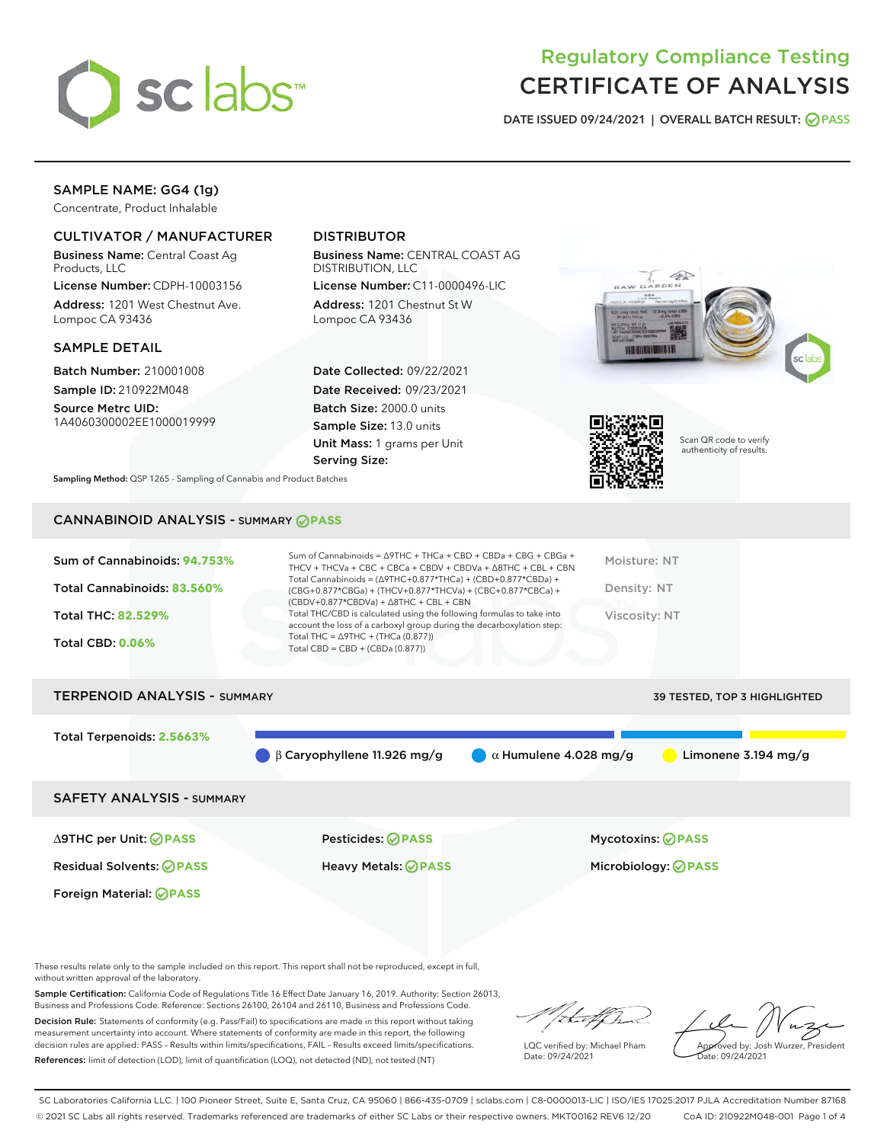

## Regulatory Compliance Testing CERTIFICATE OF ANALYSIS

DATE ISSUED 09/24/2021 | OVERALL BATCH RESULT: @ PASS

## SAMPLE NAME: GG4 (1g)

Concentrate, Product Inhalable

## CULTIVATOR / MANUFACTURER

Business Name: Central Coast Ag Products, LLC

License Number: CDPH-10003156 Address: 1201 West Chestnut Ave. Lompoc CA 93436

#### SAMPLE DETAIL

Batch Number: 210001008 Sample ID: 210922M048

Source Metrc UID: 1A4060300002EE1000019999

## DISTRIBUTOR

Business Name: CENTRAL COAST AG DISTRIBUTION, LLC

License Number: C11-0000496-LIC Address: 1201 Chestnut St W Lompoc CA 93436

Date Collected: 09/22/2021 Date Received: 09/23/2021 Batch Size: 2000.0 units Sample Size: 13.0 units Unit Mass: 1 grams per Unit Serving Size:





Scan QR code to verify authenticity of results.

Sampling Method: QSP 1265 - Sampling of Cannabis and Product Batches

## CANNABINOID ANALYSIS - SUMMARY **PASS**

| Sum of Cannabinoids: 94.753% | Sum of Cannabinoids = $\triangle$ 9THC + THCa + CBD + CBDa + CBG + CBGa +<br>THCV + THCVa + CBC + CBCa + CBDV + CBDVa + $\triangle$ 8THC + CBL + CBN                                   | Moisture: NT  |
|------------------------------|----------------------------------------------------------------------------------------------------------------------------------------------------------------------------------------|---------------|
| Total Cannabinoids: 83.560%  | Total Cannabinoids = $(\Delta$ 9THC+0.877*THCa) + $(CBD+0.877*CBDa) +$<br>(CBG+0.877*CBGa) + (THCV+0.877*THCVa) + (CBC+0.877*CBCa) +<br>$(CBDV+0.877*CBDVa) + \Delta 8THC + CBL + CBN$ | Density: NT   |
| <b>Total THC: 82.529%</b>    | Total THC/CBD is calculated using the following formulas to take into<br>account the loss of a carboxyl group during the decarboxylation step:                                         | Viscosity: NT |
| <b>Total CBD: 0.06%</b>      | Total THC = $\triangle$ 9THC + (THCa (0.877))<br>Total CBD = $CBD + (CBDa (0.877))$                                                                                                    |               |
|                              |                                                                                                                                                                                        |               |

# TERPENOID ANALYSIS - SUMMARY 39 TESTED, TOP 3 HIGHLIGHTED Total Terpenoids: **2.5663%** β Caryophyllene 11.926 mg/g α Humulene 4.028 mg/g Limonene 3.194 mg/g SAFETY ANALYSIS - SUMMARY ∆9THC per Unit: **PASS** Pesticides: **PASS** Mycotoxins: **PASS**

Foreign Material: **PASS**

Residual Solvents: **PASS** Heavy Metals: **PASS** Microbiology: **PASS**

These results relate only to the sample included on this report. This report shall not be reproduced, except in full, without written approval of the laboratory.

Sample Certification: California Code of Regulations Title 16 Effect Date January 16, 2019. Authority: Section 26013, Business and Professions Code. Reference: Sections 26100, 26104 and 26110, Business and Professions Code.

Decision Rule: Statements of conformity (e.g. Pass/Fail) to specifications are made in this report without taking measurement uncertainty into account. Where statements of conformity are made in this report, the following decision rules are applied: PASS – Results within limits/specifications, FAIL – Results exceed limits/specifications. References: limit of detection (LOD), limit of quantification (LOQ), not detected (ND), not tested (NT)

that f Tr

LQC verified by: Michael Pham Date: 09/24/2021

Approved by: Josh Wurzer, President ate: 09/24/2021

SC Laboratories California LLC. | 100 Pioneer Street, Suite E, Santa Cruz, CA 95060 | 866-435-0709 | sclabs.com | C8-0000013-LIC | ISO/IES 17025:2017 PJLA Accreditation Number 87168 © 2021 SC Labs all rights reserved. Trademarks referenced are trademarks of either SC Labs or their respective owners. MKT00162 REV6 12/20 CoA ID: 210922M048-001 Page 1 of 4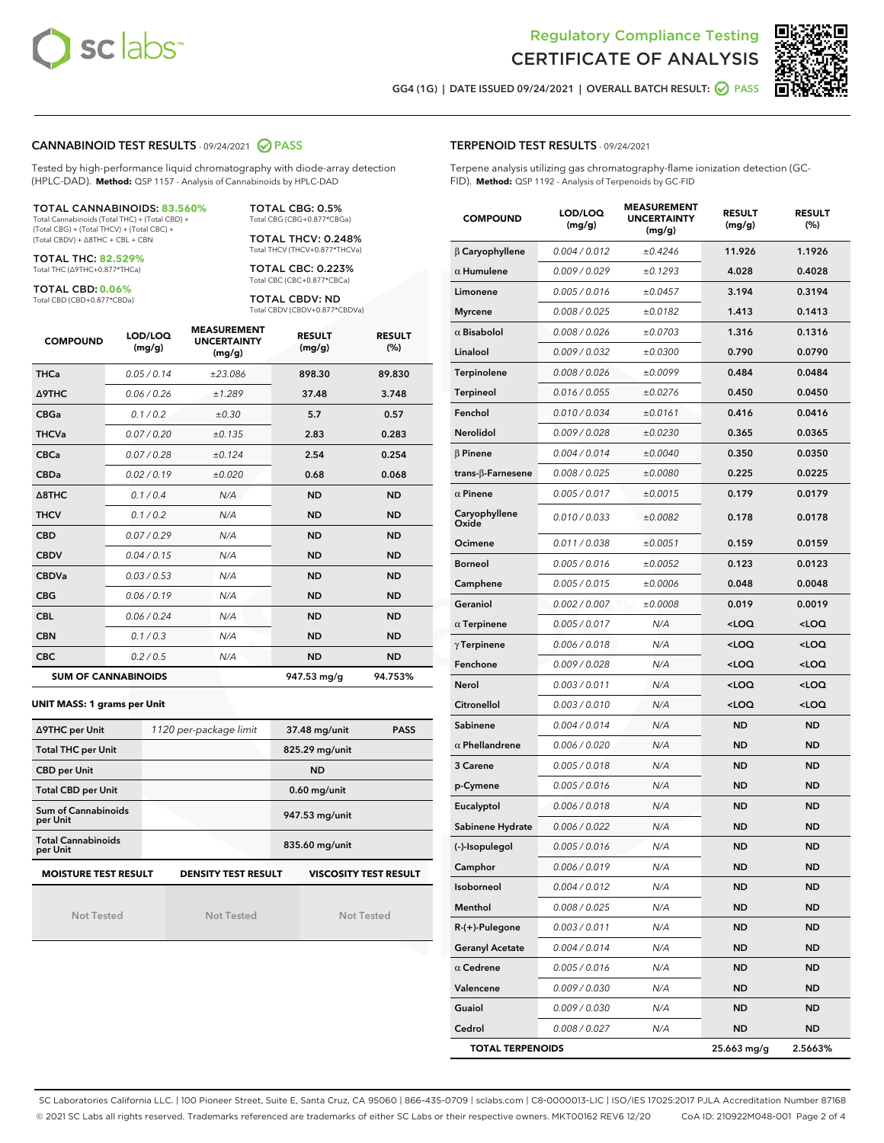



GG4 (1G) | DATE ISSUED 09/24/2021 | OVERALL BATCH RESULT: 2 PASS

### CANNABINOID TEST RESULTS - 09/24/2021 2 PASS

Tested by high-performance liquid chromatography with diode-array detection (HPLC-DAD). **Method:** QSP 1157 - Analysis of Cannabinoids by HPLC-DAD

TOTAL CANNABINOIDS: **83.560%** Total Cannabinoids (Total THC) + (Total CBD) +

(Total CBG) + (Total THCV) + (Total CBC) + (Total CBDV) + ∆8THC + CBL + CBN

TOTAL THC: **82.529%** Total THC (∆9THC+0.877\*THCa)

TOTAL CBD: **0.06%**

Total CBD (CBD+0.877\*CBDa)

TOTAL CBG: 0.5% Total CBG (CBG+0.877\*CBGa)

TOTAL THCV: 0.248% Total THCV (THCV+0.877\*THCVa)

TOTAL CBC: 0.223% Total CBC (CBC+0.877\*CBCa)

TOTAL CBDV: ND Total CBDV (CBDV+0.877\*CBDVa)

| <b>COMPOUND</b>  | LOD/LOQ<br>(mg/g)          | <b>MEASUREMENT</b><br><b>UNCERTAINTY</b><br>(mg/g) | <b>RESULT</b><br>(mg/g) | <b>RESULT</b><br>(%) |
|------------------|----------------------------|----------------------------------------------------|-------------------------|----------------------|
| <b>THCa</b>      | 0.05/0.14                  | ±23.086                                            | 898.30                  | 89.830               |
| <b>A9THC</b>     | 0.06 / 0.26                | ±1.289                                             | 37.48                   | 3.748                |
| <b>CBGa</b>      | 0.1 / 0.2                  | ±0.30                                              | 5.7                     | 0.57                 |
| <b>THCVa</b>     | 0.07/0.20                  | ±0.135                                             | 2.83                    | 0.283                |
| <b>CBCa</b>      | 0.07/0.28                  | ±0.124                                             | 2.54                    | 0.254                |
| <b>CBDa</b>      | 0.02/0.19                  | ±0.020                                             | 0.68                    | 0.068                |
| $\triangle$ 8THC | 0.1/0.4                    | N/A                                                | <b>ND</b>               | <b>ND</b>            |
| <b>THCV</b>      | 0.1/0.2                    | N/A                                                | <b>ND</b>               | <b>ND</b>            |
| <b>CBD</b>       | 0.07/0.29                  | N/A                                                | <b>ND</b>               | <b>ND</b>            |
| <b>CBDV</b>      | 0.04 / 0.15                | N/A                                                | <b>ND</b>               | <b>ND</b>            |
| <b>CBDVa</b>     | 0.03/0.53                  | N/A                                                | <b>ND</b>               | <b>ND</b>            |
| <b>CBG</b>       | 0.06/0.19                  | N/A                                                | <b>ND</b>               | <b>ND</b>            |
| <b>CBL</b>       | 0.06 / 0.24                | N/A                                                | <b>ND</b>               | <b>ND</b>            |
| <b>CBN</b>       | 0.1/0.3                    | N/A                                                | <b>ND</b>               | <b>ND</b>            |
| <b>CBC</b>       | 0.2 / 0.5                  | N/A                                                | <b>ND</b>               | <b>ND</b>            |
|                  | <b>SUM OF CANNABINOIDS</b> |                                                    | 947.53 mg/g             | 94.753%              |

**UNIT MASS: 1 grams per Unit**

| ∆9THC per Unit                        | 1120 per-package limit     | 37.48 mg/unit<br><b>PASS</b> |
|---------------------------------------|----------------------------|------------------------------|
| <b>Total THC per Unit</b>             |                            | 825.29 mg/unit               |
| <b>CBD per Unit</b>                   |                            | <b>ND</b>                    |
| <b>Total CBD per Unit</b>             |                            | $0.60$ mg/unit               |
| Sum of Cannabinoids<br>per Unit       |                            | 947.53 mg/unit               |
| <b>Total Cannabinoids</b><br>per Unit |                            | 835.60 mg/unit               |
| <b>MOISTURE TEST RESULT</b>           | <b>DENSITY TEST RESULT</b> | <b>VISCOSITY TEST RESULT</b> |

Not Tested

Not Tested

Not Tested

## TERPENOID TEST RESULTS - 09/24/2021

Terpene analysis utilizing gas chromatography-flame ionization detection (GC-FID). **Method:** QSP 1192 - Analysis of Terpenoids by GC-FID

| <b>COMPOUND</b>         | LOD/LOQ<br>(mg/g) | <b>MEASUREMENT</b><br><b>UNCERTAINTY</b><br>(mg/g) | <b>RESULT</b><br>(mg/g)                         | <b>RESULT</b><br>(%) |
|-------------------------|-------------------|----------------------------------------------------|-------------------------------------------------|----------------------|
| <b>B</b> Caryophyllene  | 0.004 / 0.012     | ±0.4246                                            | 11.926                                          | 1.1926               |
| $\alpha$ Humulene       | 0.009/0.029       | ±0.1293                                            | 4.028                                           | 0.4028               |
| Limonene                | 0.005 / 0.016     | ±0.0457                                            | 3.194                                           | 0.3194               |
| <b>Myrcene</b>          | 0.008 / 0.025     | ±0.0182                                            | 1.413                                           | 0.1413               |
| $\alpha$ Bisabolol      | 0.008 / 0.026     | ±0.0703                                            | 1.316                                           | 0.1316               |
| Linalool                | 0.009 / 0.032     | ±0.0300                                            | 0.790                                           | 0.0790               |
| Terpinolene             | 0.008 / 0.026     | ±0.0099                                            | 0.484                                           | 0.0484               |
| Terpineol               | 0.016 / 0.055     | ±0.0276                                            | 0.450                                           | 0.0450               |
| Fenchol                 | 0.010 / 0.034     | ±0.0161                                            | 0.416                                           | 0.0416               |
| Nerolidol               | 0.009 / 0.028     | ±0.0230                                            | 0.365                                           | 0.0365               |
| $\beta$ Pinene          | 0.004 / 0.014     | ±0.0040                                            | 0.350                                           | 0.0350               |
| trans-β-Farnesene       | 0.008 / 0.025     | ±0.0080                                            | 0.225                                           | 0.0225               |
| $\alpha$ Pinene         | 0.005 / 0.017     | ±0.0015                                            | 0.179                                           | 0.0179               |
| Caryophyllene<br>Oxide  | 0.010 / 0.033     | ±0.0082                                            | 0.178                                           | 0.0178               |
| Ocimene                 | 0.011 / 0.038     | ±0.0051                                            | 0.159                                           | 0.0159               |
| <b>Borneol</b>          | 0.005 / 0.016     | ±0.0052                                            | 0.123                                           | 0.0123               |
| Camphene                | 0.005 / 0.015     | ±0.0006                                            | 0.048                                           | 0.0048               |
| Geraniol                | 0.002 / 0.007     | ±0.0008                                            | 0.019                                           | 0.0019               |
| $\alpha$ Terpinene      | 0.005 / 0.017     | N/A                                                | <loq< th=""><th><loq< th=""></loq<></th></loq<> | <loq< th=""></loq<>  |
| $\gamma$ Terpinene      | 0.006 / 0.018     | N/A                                                | <loq< th=""><th><loq< th=""></loq<></th></loq<> | <loq< th=""></loq<>  |
| Fenchone                | 0.009 / 0.028     | N/A                                                | <loq< th=""><th><loq< th=""></loq<></th></loq<> | <loq< th=""></loq<>  |
| Nerol                   | 0.003 / 0.011     | N/A                                                | <loq< th=""><th><loq< th=""></loq<></th></loq<> | <loq< th=""></loq<>  |
| Citronellol             | 0.003 / 0.010     | N/A                                                | <loq< th=""><th><loq< th=""></loq<></th></loq<> | <loq< th=""></loq<>  |
| Sabinene                | 0.004 / 0.014     | N/A                                                | ND                                              | <b>ND</b>            |
| $\alpha$ Phellandrene   | 0.006 / 0.020     | N/A                                                | ND                                              | <b>ND</b>            |
| 3 Carene                | 0.005 / 0.018     | N/A                                                | <b>ND</b>                                       | <b>ND</b>            |
| p-Cymene                | 0.005 / 0.016     | N/A                                                | ND                                              | <b>ND</b>            |
| Eucalyptol              | 0.006 / 0.018     | N/A                                                | ND                                              | <b>ND</b>            |
| Sabinene Hydrate        | 0.006 / 0.022     | N/A                                                | <b>ND</b>                                       | <b>ND</b>            |
| (-)-Isopulegol          | 0.005 / 0.016     | N/A                                                | <b>ND</b>                                       | <b>ND</b>            |
| Camphor                 | 0.006 / 0.019     | N/A                                                | ND                                              | <b>ND</b>            |
| Isoborneol              | 0.004 / 0.012     | N/A                                                | <b>ND</b>                                       | ND                   |
| Menthol                 | 0.008 / 0.025     | N/A                                                | ND                                              | <b>ND</b>            |
| R-(+)-Pulegone          | 0.003 / 0.011     | N/A                                                | ND                                              | <b>ND</b>            |
| <b>Geranyl Acetate</b>  | 0.004 / 0.014     | N/A                                                | ND                                              | ND                   |
| $\alpha$ Cedrene        | 0.005 / 0.016     | N/A                                                | ND                                              | ND                   |
| Valencene               | 0.009 / 0.030     | N/A                                                | <b>ND</b>                                       | <b>ND</b>            |
| Guaiol                  | 0.009 / 0.030     | N/A                                                | ND                                              | ND                   |
| Cedrol                  | 0.008 / 0.027     | N/A                                                | <b>ND</b>                                       | <b>ND</b>            |
| <b>TOTAL TERPENOIDS</b> |                   |                                                    | 25.663 mg/g                                     | 2.5663%              |

SC Laboratories California LLC. | 100 Pioneer Street, Suite E, Santa Cruz, CA 95060 | 866-435-0709 | sclabs.com | C8-0000013-LIC | ISO/IES 17025:2017 PJLA Accreditation Number 87168 © 2021 SC Labs all rights reserved. Trademarks referenced are trademarks of either SC Labs or their respective owners. MKT00162 REV6 12/20 CoA ID: 210922M048-001 Page 2 of 4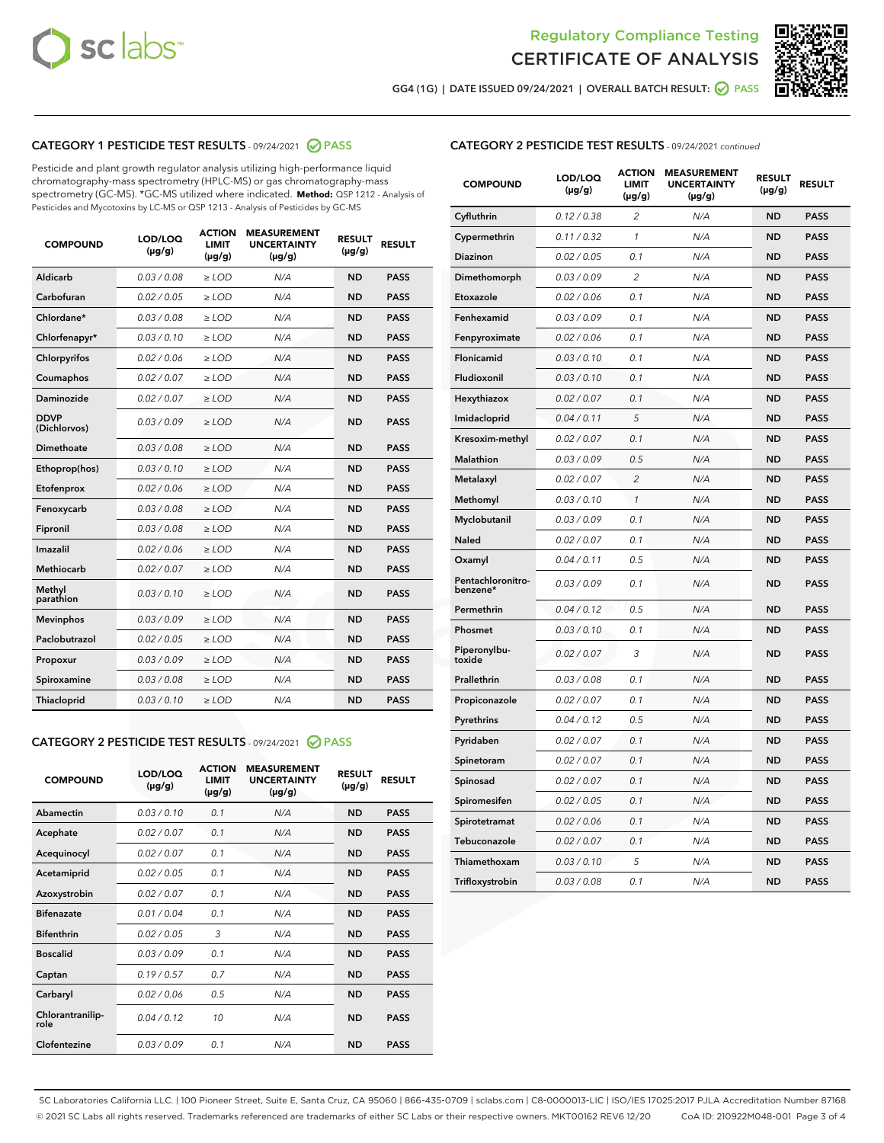



GG4 (1G) | DATE ISSUED 09/24/2021 | OVERALL BATCH RESULT: 2 PASS

## CATEGORY 1 PESTICIDE TEST RESULTS - 09/24/2021 2 PASS

Pesticide and plant growth regulator analysis utilizing high-performance liquid chromatography-mass spectrometry (HPLC-MS) or gas chromatography-mass spectrometry (GC-MS). \*GC-MS utilized where indicated. **Method:** QSP 1212 - Analysis of Pesticides and Mycotoxins by LC-MS or QSP 1213 - Analysis of Pesticides by GC-MS

| <b>COMPOUND</b>             | LOD/LOQ<br>$(\mu g/g)$ | <b>ACTION</b><br><b>LIMIT</b><br>$(\mu g/g)$ | <b>MEASUREMENT</b><br><b>UNCERTAINTY</b><br>$(\mu g/g)$ | <b>RESULT</b><br>$(\mu g/g)$ | <b>RESULT</b> |
|-----------------------------|------------------------|----------------------------------------------|---------------------------------------------------------|------------------------------|---------------|
| Aldicarb                    | 0.03 / 0.08            | $\ge$ LOD                                    | N/A                                                     | <b>ND</b>                    | <b>PASS</b>   |
| Carbofuran                  | 0.02 / 0.05            | $\ge$ LOD                                    | N/A                                                     | <b>ND</b>                    | <b>PASS</b>   |
| Chlordane*                  | 0.03 / 0.08            | $\ge$ LOD                                    | N/A                                                     | <b>ND</b>                    | <b>PASS</b>   |
| Chlorfenapyr*               | 0.03/0.10              | $\ge$ LOD                                    | N/A                                                     | <b>ND</b>                    | <b>PASS</b>   |
| Chlorpyrifos                | 0.02 / 0.06            | $\ge$ LOD                                    | N/A                                                     | <b>ND</b>                    | <b>PASS</b>   |
| Coumaphos                   | 0.02 / 0.07            | $\ge$ LOD                                    | N/A                                                     | <b>ND</b>                    | <b>PASS</b>   |
| Daminozide                  | 0.02 / 0.07            | $\ge$ LOD                                    | N/A                                                     | <b>ND</b>                    | <b>PASS</b>   |
| <b>DDVP</b><br>(Dichlorvos) | 0.03/0.09              | $>$ LOD                                      | N/A                                                     | <b>ND</b>                    | <b>PASS</b>   |
| Dimethoate                  | 0.03/0.08              | $\ge$ LOD                                    | N/A                                                     | <b>ND</b>                    | <b>PASS</b>   |
| Ethoprop(hos)               | 0.03 / 0.10            | $>$ LOD                                      | N/A                                                     | <b>ND</b>                    | <b>PASS</b>   |
| Etofenprox                  | 0.02 / 0.06            | $\ge$ LOD                                    | N/A                                                     | <b>ND</b>                    | <b>PASS</b>   |
| Fenoxycarb                  | 0.03/0.08              | $\ge$ LOD                                    | N/A                                                     | <b>ND</b>                    | <b>PASS</b>   |
| Fipronil                    | 0.03/0.08              | $\ge$ LOD                                    | N/A                                                     | <b>ND</b>                    | <b>PASS</b>   |
| Imazalil                    | 0.02 / 0.06            | $>$ LOD                                      | N/A                                                     | <b>ND</b>                    | <b>PASS</b>   |
| <b>Methiocarb</b>           | 0.02 / 0.07            | $\ge$ LOD                                    | N/A                                                     | <b>ND</b>                    | <b>PASS</b>   |
| Methyl<br>parathion         | 0.03/0.10              | $\ge$ LOD                                    | N/A                                                     | <b>ND</b>                    | <b>PASS</b>   |
| <b>Mevinphos</b>            | 0.03/0.09              | $\ge$ LOD                                    | N/A                                                     | <b>ND</b>                    | <b>PASS</b>   |
| Paclobutrazol               | 0.02 / 0.05            | $>$ LOD                                      | N/A                                                     | <b>ND</b>                    | <b>PASS</b>   |
| Propoxur                    | 0.03/0.09              | $\ge$ LOD                                    | N/A                                                     | <b>ND</b>                    | <b>PASS</b>   |
| Spiroxamine                 | 0.03/0.08              | $\ge$ LOD                                    | N/A                                                     | <b>ND</b>                    | <b>PASS</b>   |
| Thiacloprid                 | 0.03/0.10              | $\ge$ LOD                                    | N/A                                                     | <b>ND</b>                    | <b>PASS</b>   |

#### CATEGORY 2 PESTICIDE TEST RESULTS - 09/24/2021 @ PASS

| <b>COMPOUND</b>          | LOD/LOO<br>$(\mu g/g)$ | <b>ACTION</b><br>LIMIT<br>$(\mu g/g)$ | <b>MEASUREMENT</b><br><b>UNCERTAINTY</b><br>$(\mu g/g)$ | <b>RESULT</b><br>$(\mu g/g)$ | <b>RESULT</b> |  |
|--------------------------|------------------------|---------------------------------------|---------------------------------------------------------|------------------------------|---------------|--|
| Abamectin                | 0.03/0.10              | 0.1                                   | N/A                                                     | <b>ND</b>                    | <b>PASS</b>   |  |
| Acephate                 | 0.02/0.07              | 0.1                                   | N/A                                                     | <b>ND</b>                    | <b>PASS</b>   |  |
| Acequinocyl              | 0.02/0.07              | 0.1                                   | N/A                                                     | <b>ND</b>                    | <b>PASS</b>   |  |
| Acetamiprid              | 0.02 / 0.05            | 0.1                                   | N/A                                                     | <b>ND</b>                    | <b>PASS</b>   |  |
| Azoxystrobin             | 0.02/0.07              | 0.1                                   | N/A                                                     | <b>ND</b>                    | <b>PASS</b>   |  |
| <b>Bifenazate</b>        | 0.01 / 0.04            | 0.1                                   | N/A                                                     | <b>ND</b>                    | <b>PASS</b>   |  |
| <b>Bifenthrin</b>        | 0.02 / 0.05            | 3                                     | N/A                                                     | <b>ND</b>                    | <b>PASS</b>   |  |
| <b>Boscalid</b>          | 0.03/0.09              | 0.1                                   | N/A                                                     | <b>ND</b>                    | <b>PASS</b>   |  |
| Captan                   | 0.19/0.57              | 0.7                                   | N/A                                                     | <b>ND</b>                    | <b>PASS</b>   |  |
| Carbaryl                 | 0.02/0.06              | 0.5                                   | N/A                                                     | <b>ND</b>                    | <b>PASS</b>   |  |
| Chlorantranilip-<br>role | 0.04/0.12              | 10                                    | N/A                                                     | <b>ND</b>                    | <b>PASS</b>   |  |
| Clofentezine             | 0.03/0.09              | 0.1                                   | N/A                                                     | <b>ND</b>                    | <b>PASS</b>   |  |

## CATEGORY 2 PESTICIDE TEST RESULTS - 09/24/2021 continued

| <b>COMPOUND</b>               | LOD/LOQ<br>(µg/g) | <b>ACTION</b><br>LIMIT<br>$(\mu g/g)$ | <b>MEASUREMENT</b><br><b>UNCERTAINTY</b><br>(µg/g) | <b>RESULT</b><br>(µg/g) | <b>RESULT</b> |
|-------------------------------|-------------------|---------------------------------------|----------------------------------------------------|-------------------------|---------------|
| Cyfluthrin                    | 0.12 / 0.38       | 2                                     | N/A                                                | ND                      | <b>PASS</b>   |
| Cypermethrin                  | 0.11 / 0.32       | 1                                     | N/A                                                | ND                      | PASS          |
| Diazinon                      | 0.02 / 0.05       | 0.1                                   | N/A                                                | ND                      | PASS          |
| Dimethomorph                  | 0.03 / 0.09       | 2                                     | N/A                                                | <b>ND</b>               | <b>PASS</b>   |
| Etoxazole                     | 0.02 / 0.06       | 0.1                                   | N/A                                                | ND                      | <b>PASS</b>   |
| Fenhexamid                    | 0.03 / 0.09       | 0.1                                   | N/A                                                | ND                      | <b>PASS</b>   |
| Fenpyroximate                 | 0.02 / 0.06       | 0.1                                   | N/A                                                | <b>ND</b>               | <b>PASS</b>   |
| Flonicamid                    | 0.03 / 0.10       | 0.1                                   | N/A                                                | <b>ND</b>               | <b>PASS</b>   |
| Fludioxonil                   | 0.03 / 0.10       | 0.1                                   | N/A                                                | <b>ND</b>               | <b>PASS</b>   |
| Hexythiazox                   | 0.02 / 0.07       | 0.1                                   | N/A                                                | <b>ND</b>               | PASS          |
| Imidacloprid                  | 0.04 / 0.11       | 5                                     | N/A                                                | <b>ND</b>               | <b>PASS</b>   |
| Kresoxim-methyl               | 0.02 / 0.07       | 0.1                                   | N/A                                                | ND                      | <b>PASS</b>   |
| Malathion                     | 0.03 / 0.09       | 0.5                                   | N/A                                                | <b>ND</b>               | <b>PASS</b>   |
| Metalaxyl                     | 0.02 / 0.07       | $\overline{c}$                        | N/A                                                | <b>ND</b>               | <b>PASS</b>   |
| Methomyl                      | 0.03 / 0.10       | 1                                     | N/A                                                | ND                      | <b>PASS</b>   |
| Myclobutanil                  | 0.03/0.09         | 0.1                                   | N/A                                                | <b>ND</b>               | <b>PASS</b>   |
| Naled                         | 0.02 / 0.07       | 0.1                                   | N/A                                                | ND                      | <b>PASS</b>   |
| Oxamyl                        | 0.04 / 0.11       | 0.5                                   | N/A                                                | ND                      | <b>PASS</b>   |
| Pentachloronitro-<br>benzene* | 0.03 / 0.09       | 0.1                                   | N/A                                                | ND                      | <b>PASS</b>   |
| Permethrin                    | 0.04/0.12         | 0.5                                   | N/A                                                | <b>ND</b>               | <b>PASS</b>   |
| Phosmet                       | 0.03 / 0.10       | 0.1                                   | N/A                                                | ND                      | PASS          |
| Piperonylbu-<br>toxide        | 0.02 / 0.07       | 3                                     | N/A                                                | <b>ND</b>               | <b>PASS</b>   |
| Prallethrin                   | 0.03 / 0.08       | 0.1                                   | N/A                                                | <b>ND</b>               | <b>PASS</b>   |
| Propiconazole                 | 0.02 / 0.07       | 0.1                                   | N/A                                                | ND                      | <b>PASS</b>   |
| Pyrethrins                    | 0.04 / 0.12       | 0.5                                   | N/A                                                | ND                      | PASS          |
| Pyridaben                     | 0.02 / 0.07       | 0.1                                   | N/A                                                | <b>ND</b>               | <b>PASS</b>   |
| Spinetoram                    | 0.02 / 0.07       | 0.1                                   | N/A                                                | ND                      | <b>PASS</b>   |
| Spinosad                      | 0.02 / 0.07       | 0.1                                   | N/A                                                | ND                      | PASS          |
| Spiromesifen                  | 0.02 / 0.05       | 0.1                                   | N/A                                                | <b>ND</b>               | <b>PASS</b>   |
| Spirotetramat                 | 0.02 / 0.06       | 0.1                                   | N/A                                                | ND                      | <b>PASS</b>   |
| Tebuconazole                  | 0.02 / 0.07       | 0.1                                   | N/A                                                | ND                      | <b>PASS</b>   |
| Thiamethoxam                  | 0.03 / 0.10       | 5                                     | N/A                                                | <b>ND</b>               | <b>PASS</b>   |
| Trifloxystrobin               | 0.03 / 0.08       | 0.1                                   | N/A                                                | <b>ND</b>               | <b>PASS</b>   |

SC Laboratories California LLC. | 100 Pioneer Street, Suite E, Santa Cruz, CA 95060 | 866-435-0709 | sclabs.com | C8-0000013-LIC | ISO/IES 17025:2017 PJLA Accreditation Number 87168 © 2021 SC Labs all rights reserved. Trademarks referenced are trademarks of either SC Labs or their respective owners. MKT00162 REV6 12/20 CoA ID: 210922M048-001 Page 3 of 4